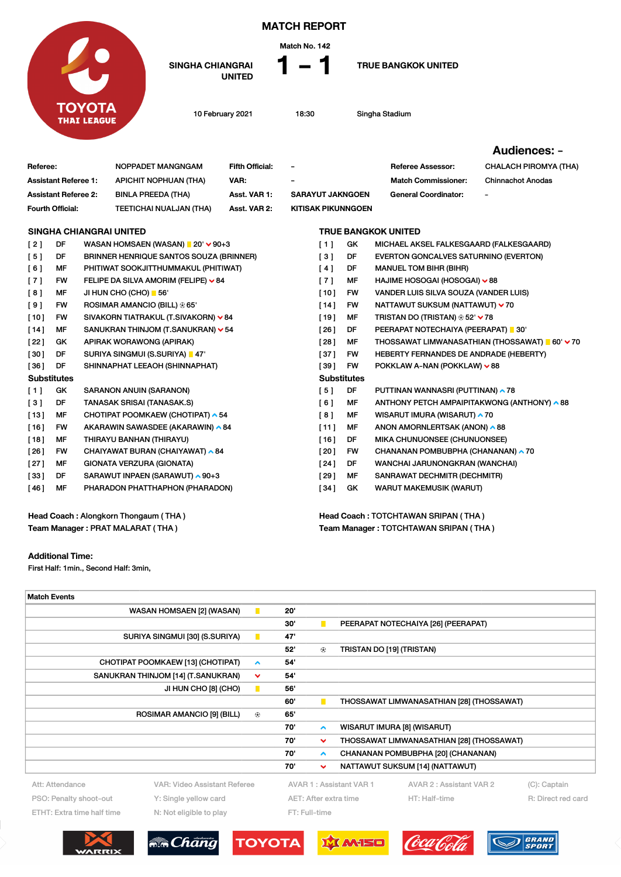

## MATCH REPORT



SINGHA CHIANGRAI<br>UNITED

**TRUE BANGKOK UNITED** 

10 February 2021 18:30 Singha Stadium

Team Manager : TOTCHTAWAN SRIPAN ( THA )

## Audiences: -

|                                      |           |  |                                                        |                        |                                     |           |                                                  | <b>AUUICIICES.</b> -                            |
|--------------------------------------|-----------|--|--------------------------------------------------------|------------------------|-------------------------------------|-----------|--------------------------------------------------|-------------------------------------------------|
| Referee:                             |           |  | NOPPADET MANGNGAM                                      | <b>Fifth Official:</b> |                                     |           | <b>Referee Assessor:</b>                         | <b>CHALACH PIROMYA (THA)</b>                    |
| <b>Assistant Referee 1:</b>          |           |  | <b>APICHIT NOPHUAN (THA)</b>                           | VAR:                   |                                     |           | <b>Match Commissioner:</b>                       | <b>Chinnachot Anodas</b>                        |
| <b>Assistant Referee 2:</b>          |           |  | <b>BINLA PREEDA (THA)</b>                              | Asst. VAR 1:           | <b>SARAYUT JAKNGOEN</b>             |           | <b>General Coordinator:</b>                      |                                                 |
| Fourth Official:                     |           |  | TEETICHAI NUALJAN (THA)                                | Asst. VAR 2:           | <b>KITISAK PIKUNNGOEN</b>           |           |                                                  |                                                 |
|                                      |           |  | <b>SINGHA CHIANGRAI UNITED</b>                         |                        |                                     |           | <b>TRUE BANGKOK UNITED</b>                       |                                                 |
| [2]                                  | DF        |  | WASAN HOMSAEN (WASAN) $\blacksquare$ 20' $\smile$ 90+3 |                        | [1]                                 | GK        | MICHAEL AKSEL FALKESGAARD (FALKESGAARD)          |                                                 |
| [5]                                  | DF        |  | <b>BRINNER HENRIQUE SANTOS SOUZA (BRINNER)</b>         |                        | $\lceil 3 \rceil$                   | DF        | EVERTON GONCALVES SATURNINO (EVERTON)            |                                                 |
| [6]                                  | MF        |  | PHITIWAT SOOKJITTHUMMAKUL (PHITIWAT)                   |                        | [4]                                 | DF        | <b>MANUEL TOM BIHR (BIHR)</b>                    |                                                 |
| [7]                                  | <b>FW</b> |  | FELIPE DA SILVA AMORIM (FELIPE) ~ 84                   |                        | [7]                                 | MF        | HAJIME HOSOGAI (HOSOGAI) ∨88                     |                                                 |
| [8]                                  | MF        |  | JI HUN CHO (CHO) 66'                                   |                        | $[10]$                              | <b>FW</b> | VANDER LUIS SILVA SOUZA (VANDER LUIS)            |                                                 |
| [9]                                  | <b>FW</b> |  | ROSIMAR AMANCIO (BILL) $\oplus$ 65'                    |                        | $[14]$                              | <b>FW</b> | NATTAWUT SUKSUM (NATTAWUT) ∨ 70                  |                                                 |
| $[10]$                               | <b>FW</b> |  | SIVAKORN TIATRAKUL (T.SIVAKORN) ∨84                    |                        | [19]                                | MF        | TRISTAN DO (TRISTAN) $\circledast$ 52' $\vee$ 78 |                                                 |
| $[14]$                               | MF        |  | SANUKRAN THINJOM (T.SANUKRAN) v 54                     |                        | [26]                                | DF        | PEERAPAT NOTECHAIYA (PEERAPAT) 30'               |                                                 |
| [22]                                 | GK        |  | APIRAK WORAWONG (APIRAK)                               |                        | [28]                                | MF        |                                                  | THOSSAWAT LIMWANASATHIAN (THOSSAWAT) ■ 60' ~ 70 |
| $[30]$                               | DF        |  | SURIYA SINGMUI (S.SURIYA)   47'                        |                        | $[37]$                              | FW        | HEBERTY FERNANDES DE ANDRADE (HEBERTY)           |                                                 |
| [36]                                 | DF        |  | SHINNAPHAT LEEAOH (SHINNAPHAT)                         |                        | [39]                                | <b>FW</b> | POKKLAW A-NAN (POKKLAW) ∨88                      |                                                 |
| <b>Substitutes</b>                   |           |  |                                                        |                        | <b>Substitutes</b>                  |           |                                                  |                                                 |
| [1]                                  | GK        |  | <b>SARANON ANUIN (SARANON)</b>                         |                        | [5]                                 | DF        | PUTTINAN WANNASRI (PUTTINAN) ▲ 78                |                                                 |
| [3]                                  | DF        |  | TANASAK SRISAI (TANASAK.S)                             |                        | [6]                                 | MF        | ANTHONY PETCH AMPAIPITAKWONG (ANTHONY) ^88       |                                                 |
| $[13]$                               | MF        |  | CHOTIPAT POOMKAEW (CHOTIPAT) ▲ 54                      |                        | [8]                                 | MF        | WISARUT IMURA (WISARUT) ^ 70                     |                                                 |
| $[16]$                               | FW        |  | AKARAWIN SAWASDEE (AKARAWIN) ∧84                       |                        | [11]                                | МF        | ANON AMORNLERTSAK (ANON) ^88                     |                                                 |
| [18]                                 | <b>MF</b> |  | THIRAYU BANHAN (THIRAYU)                               |                        | [16]                                | DF        | MIKA CHUNUONSEE (CHUNUONSEE)                     |                                                 |
| [26]                                 | <b>FW</b> |  | CHAIYAWAT BURAN (CHAIYAWAT) ^ 84                       |                        | [20]                                | <b>FW</b> | CHANANAN POMBUBPHA (CHANANAN) ~ 70               |                                                 |
| $[27]$                               | MF        |  | GIONATA VERZURA (GIONATA)                              |                        | [24]                                | DF        | WANCHAI JARUNONGKRAN (WANCHAI)                   |                                                 |
| $[33]$                               | DF        |  | SARAWUT INPAEN (SARAWUT) ▲ 90+3                        |                        | [29]                                | <b>MF</b> | SANRAWAT DECHMITR (DECHMITR)                     |                                                 |
| [46]                                 | MF        |  | PHARADON PHATTHAPHON (PHARADON)                        |                        | [34]                                | GK        | <b>WARUT MAKEMUSIK (WARUT)</b>                   |                                                 |
| Head Coach: Alongkorn Thongaum (THA) |           |  |                                                        |                        | Head Coach: TOTCHTAWAN SRIPAN (THA) |           |                                                  |                                                 |

Head Coach : Alongkorn Thongaum ( THA ) Team Manager : PRAT MALARAT ( THA )

## Additional Time:

First Half: 1min., Second Half: 3min,

| <b>Match Events</b>                                      |                                   |                |     |                       |                           |                                           |              |
|----------------------------------------------------------|-----------------------------------|----------------|-----|-----------------------|---------------------------|-------------------------------------------|--------------|
|                                                          | <b>WASAN HOMSAEN [2] (WASAN)</b>  | $\blacksquare$ | 20' |                       |                           |                                           |              |
|                                                          |                                   |                |     | $\blacksquare$        |                           | PEERAPAT NOTECHAIYA [26] (PEERAPAT)       |              |
| SURIYA SINGMUI [30] (S.SURIYA)<br>п                      |                                   |                | 47' |                       |                           |                                           |              |
|                                                          |                                   |                | 52' | ⊕                     | TRISTAN DO [19] (TRISTAN) |                                           |              |
| CHOTIPAT POOMKAEW [13] (CHOTIPAT)<br>$\hat{\phantom{a}}$ |                                   |                | 54' |                       |                           |                                           |              |
| SANUKRAN THINJOM [14] (T.SANUKRAN)<br>▿                  |                                   |                | 54' |                       |                           |                                           |              |
|                                                          | JI HUN CHO [8] (CHO)              | п              | 56' |                       |                           |                                           |              |
|                                                          |                                   |                | 60' | $\blacksquare$        |                           | THOSSAWAT LIMWANASATHIAN [28] (THOSSAWAT) |              |
|                                                          | <b>ROSIMAR AMANCIO [9] (BILL)</b> | ⊛              | 65' |                       |                           |                                           |              |
|                                                          |                                   |                | 70' | $\hat{\phantom{a}}$   |                           | WISARUT IMURA [8] (WISARUT)               |              |
|                                                          |                                   |                | 70' | $\checkmark$          |                           | THOSSAWAT LIMWANASATHIAN [28] (THOSSAWAT) |              |
|                                                          |                                   |                | 70' | $\hat{\phantom{a}}$   |                           | CHANANAN POMBUBPHA [20] (CHANANAN)        |              |
|                                                          |                                   |                | 70' | $\checkmark$          |                           | NATTAWUT SUKSUM [14] (NATTAWUT)           |              |
| Att: Attendance                                          | VAR: Video Assistant Referee      |                |     |                       | AVAR 1: Assistant VAR 1   | AVAR 2 : Assistant VAR 2                  | (C): Captain |
| PSO: Penalty shoot-out<br>Y: Single yellow card          |                                   |                |     | AET: After extra time | HT: Half-time             | R: Direct red card                        |              |
| ETHT: Extra time half time<br>N: Not eligible to play    |                                   |                |     | FT: Full-time         |                           |                                           |              |